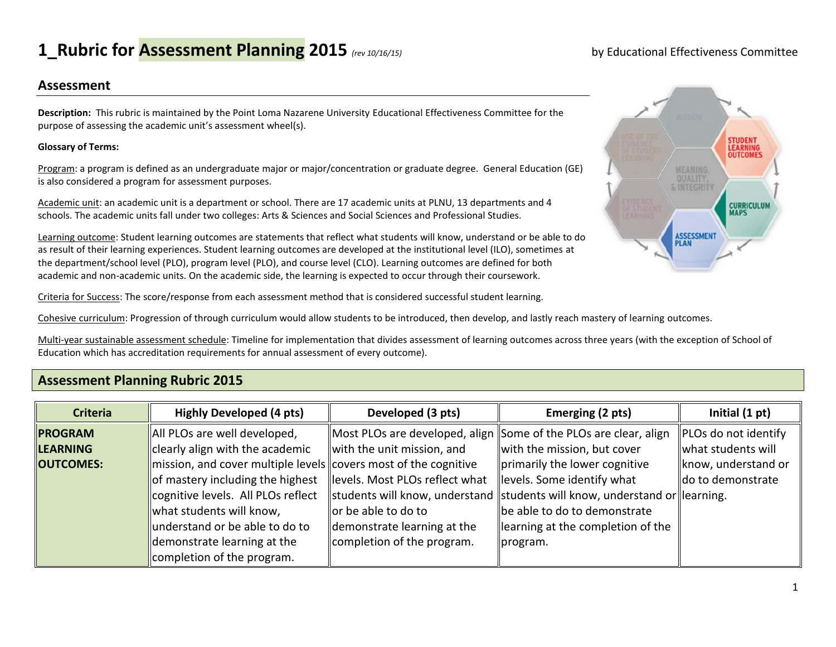# **1\_Rubric for Assessment Planning 2015** *(rev 10/16/15)* by Educational Effectiveness Committee

### **Assessment**

**Description:** This rubric is maintained by the Point Loma Nazarene University Educational Effectiveness Committee for the purpose of assessing the academic unit's assessment wheel(s).

#### **Glossary of Terms:**

Program: a program is defined as an undergraduate major or major/concentration or graduate degree. General Education (GE) is also considered a program for assessment purposes.

Academic unit: an academic unit is a department or school. There are 17 academic units at PLNU, 13 departments and 4 schools. The academic units fall under two colleges: Arts & Sciences and Social Sciences and Professional Studies.

Learning outcome: Student learning outcomes are statements that reflect what students will know, understand or be able to do as result of their learning experiences. Student learning outcomes are developed at the institutional level (ILO), sometimes at the department/school level (PLO), program level (PLO), and course level (CLO). Learning outcomes are defined for both academic and non-academic units. On the academic side, the learning is expected to occur through their coursework.

Criteria for Success: The score/response from each assessment method that is considered successful student learning.

Cohesive curriculum: Progression of through curriculum would allow students to be introduced, then develop, and lastly reach mastery of learning outcomes.

Multi-year sustainable assessment schedule: Timeline for implementation that divides assessment of learning outcomes across three years (with the exception of School of Education which has accreditation requirements for annual assessment of every outcome).

## **Assessment Planning Rubric 2015**

| <b>Criteria</b>  | <b>Highly Developed (4 pts)</b>                                                         | Developed (3 pts)               | Emerging (2 pts)                                                           | Initial (1 pt)       |
|------------------|-----------------------------------------------------------------------------------------|---------------------------------|----------------------------------------------------------------------------|----------------------|
| <b>PROGRAM</b>   | All PLOs are well developed,                                                            |                                 | Most PLOs are developed, align Some of the PLOs are clear, align           | PLOs do not identify |
| <b>LEARNING</b>  | clearly align with the academic                                                         | with the unit mission, and      | with the mission, but cover                                                | what students will   |
| <b>OUTCOMES:</b> | $\parallel$ mission, and cover multiple levels $\parallel$ covers most of the cognitive |                                 | primarily the lower cognitive                                              | know, understand or  |
|                  | of mastery including the highest                                                        | llevels. Most PLOs reflect what | levels. Some identify what                                                 | do to demonstrate    |
|                  | cognitive levels. All PLOs reflect                                                      |                                 | students will know, understand students will know, understand or learning. |                      |
|                  | what students will know,                                                                | lor be able to do to            | be able to do to demonstrate                                               |                      |
|                  | understand or be able to do to                                                          | demonstrate learning at the     | learning at the completion of the                                          |                      |
|                  | demonstrate learning at the                                                             | completion of the program.      | program.                                                                   |                      |
|                  | completion of the program.                                                              |                                 |                                                                            |                      |

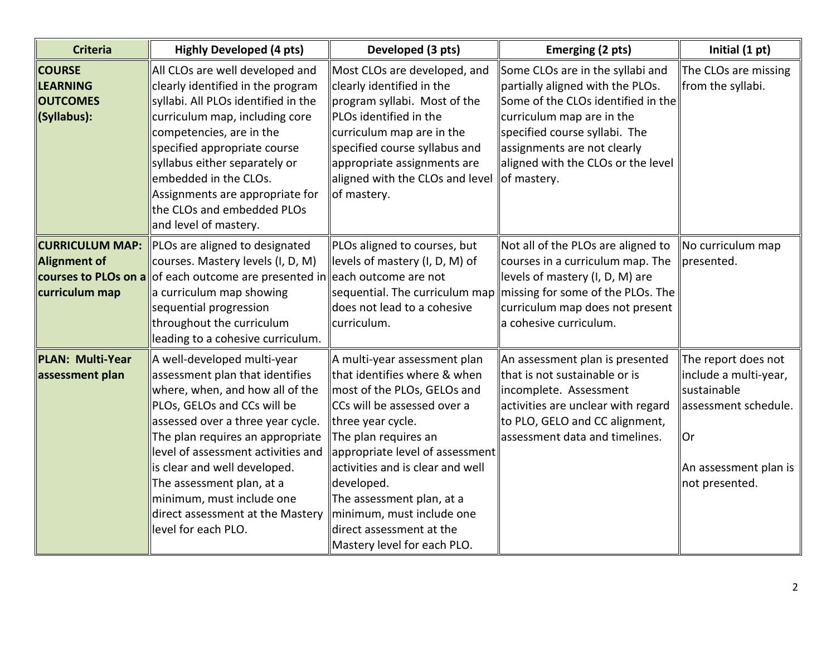| <b>Criteria</b>                                                                  | <b>Highly Developed (4 pts)</b>                                                                                                                                                                                                                                                                                                                                                                      | Developed (3 pts)                                                                                                                                                                                                                                                                                                                                                                 | Emerging (2 pts)                                                                                                                                                                                                                                             | Initial (1 pt)                                                                                                                       |
|----------------------------------------------------------------------------------|------------------------------------------------------------------------------------------------------------------------------------------------------------------------------------------------------------------------------------------------------------------------------------------------------------------------------------------------------------------------------------------------------|-----------------------------------------------------------------------------------------------------------------------------------------------------------------------------------------------------------------------------------------------------------------------------------------------------------------------------------------------------------------------------------|--------------------------------------------------------------------------------------------------------------------------------------------------------------------------------------------------------------------------------------------------------------|--------------------------------------------------------------------------------------------------------------------------------------|
| <b>COURSE</b><br><b>LEARNING</b><br><b>OUTCOMES</b><br>(Syllabus):               | All CLOs are well developed and<br>clearly identified in the program<br>syllabi. All PLOs identified in the<br>curriculum map, including core<br>competencies, are in the<br>specified appropriate course<br>syllabus either separately or<br>embedded in the CLOs.<br>Assignments are appropriate for<br>the CLOs and embedded PLOs<br>and level of mastery.                                        | Most CLOs are developed, and<br>clearly identified in the<br>program syllabi. Most of the<br>PLOs identified in the<br>curriculum map are in the<br>specified course syllabus and<br>appropriate assignments are<br>aligned with the CLOs and level<br>of mastery.                                                                                                                | Some CLOs are in the syllabi and<br>partially aligned with the PLOs.<br>Some of the CLOs identified in the<br>curriculum map are in the<br>specified course syllabi. The<br>assignments are not clearly<br>aligned with the CLOs or the level<br>of mastery. | The CLOs are missing<br>from the syllabi.                                                                                            |
| <b>CURRICULUM MAP:</b><br>Alignment of<br>courses to PLOs on a<br>curriculum map | PLOs are aligned to designated<br>courses. Mastery levels (I, D, M)<br>of each outcome are presented in each outcome are not<br>a curriculum map showing<br>sequential progression<br>throughout the curriculum<br>leading to a cohesive curriculum.                                                                                                                                                 | PLOs aligned to courses, but<br>levels of mastery (I, D, M) of<br>sequential. The curriculum map<br>does not lead to a cohesive<br>curriculum.                                                                                                                                                                                                                                    | Not all of the PLOs are aligned to<br>courses in a curriculum map. The<br>levels of mastery (I, D, M) are<br>missing for some of the PLOs. The<br>curriculum map does not present<br>a cohesive curriculum.                                                  | No curriculum map<br>presented.                                                                                                      |
| <b>PLAN: Multi-Year</b><br>assessment plan                                       | A well-developed multi-year<br>assessment plan that identifies<br>where, when, and how all of the<br>PLOs, GELOs and CCs will be<br>assessed over a three year cycle.<br>The plan requires an appropriate<br>level of assessment activities and<br>is clear and well developed.<br>The assessment plan, at a<br>minimum, must include one<br>direct assessment at the Mastery<br>level for each PLO. | A multi-year assessment plan<br>that identifies where & when<br>most of the PLOs, GELOs and<br>CCs will be assessed over a<br>three year cycle.<br>The plan requires an<br>appropriate level of assessment<br>activities and is clear and well<br>developed.<br>The assessment plan, at a<br>minimum, must include one<br>direct assessment at the<br>Mastery level for each PLO. | An assessment plan is presented<br>that is not sustainable or is<br>incomplete. Assessment<br>activities are unclear with regard<br>to PLO, GELO and CC alignment,<br>assessment data and timelines.                                                         | The report does not<br>include a multi-year,<br>sustainable<br>assessment schedule.<br>Or<br>An assessment plan is<br>not presented. |